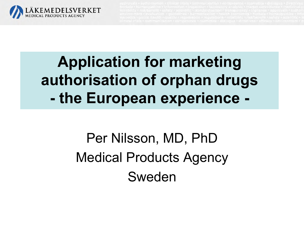

## **Application for marketing authorisation of orphan drugs - the European experience -**

## Per Nilsson, MD, PhD Medical Products Agency Sweden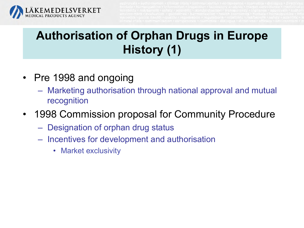

### **Authorisation of Orphan Drugs in Europe History (1)**

- Pre 1998 and ongoing
	- Marketing authorisation through national approval and mutual recognition
- 1998 Commission proposal for Community Procedure
	- Designation of orphan drug status
	- Incentives for development and authorisation
		- Market exclusivity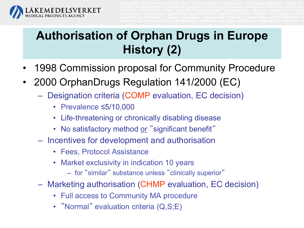

## **Authorisation of Orphan Drugs in Europe History (2)**

- 1998 Commission proposal for Community Procedure
- 2000 OrphanDrugs Regulation 141/2000 (EC)
	- Designation criteria (COMP evaluation, EC decision)
		- Prevalence ≤5/10,000
		- Life-threatening or chronically disabling disease
		- No satisfactory method or "significant benefit"
	- Incentives for development and authorisation
		- Fees, Protocol Assistance
		- Market exclusivity in indication 10 years
			- for "similar" substance unless "clinically superior"
	- Marketing authorisation (CHMP evaluation, EC decision)
		- Full access to Community MA procedure
		- "Normal" evaluation criteria (Q,S;E)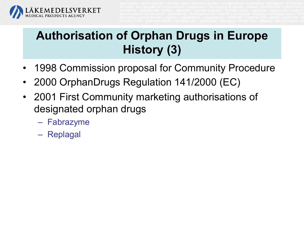

## **Authorisation of Orphan Drugs in Europe History (3)**

- 1998 Commission proposal for Community Procedure
- 2000 OrphanDrugs Regulation 141/2000 (EC)
- 2001 First Community marketing authorisations of designated orphan drugs
	- Fabrazyme
	- Replagal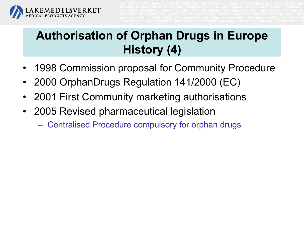

### **Authorisation of Orphan Drugs in Europe History (4)**

- 1998 Commission proposal for Community Procedure
- 2000 OrphanDrugs Regulation 141/2000 (EC)
- 2001 First Community marketing authorisations
- 2005 Revised pharmaceutical legislation
	- Centralised Procedure compulsory for orphan drugs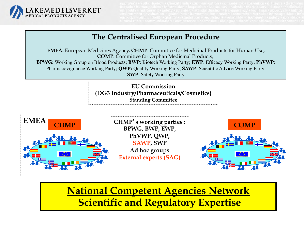

#### **The Centralised European Procedure**

**EMEA:** European Medicines Agency, **CHMP**: Committee for Medicinal Products for Human Use; **COMP**: Committee for Orphan Medicinal Products;  **BPWG:** Working Group on Blood Products; **BWP**: Biotech Working Party; **EWP**: Efficacy Working Party; **PhVWP**: Pharmacovigilance Working Party; **QWP:** Quality Working Party; **SAWP**: Scientific Advice Working Party **SWP**: Safety Working Party

> **EU Commission (DG3 Industry/Pharmaceuticals/Cosmetics) Standing Committee**



**National Competent Agencies Network Scientific and Regulatory Expertise**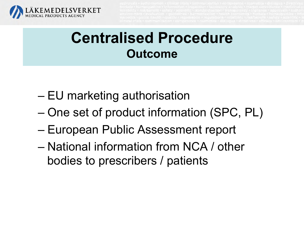

## **Centralised Procedure Outcome**

- EU marketing authorisation
- One set of product information (SPC, PL)
- European Public Assessment report
- National information from NCA / other bodies to prescribers / patients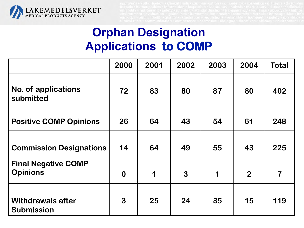

### **Orphan Designation Applications to COMP**

|                                               | 2000     | 2001 | 2002 | 2003 | 2004           | <b>Total</b>   |
|-----------------------------------------------|----------|------|------|------|----------------|----------------|
| <b>No. of applications</b><br>submitted       | 72       | 83   | 80   | 87   | 80             | 402            |
| <b>Positive COMP Opinions</b>                 | 26       | 64   | 43   | 54   | 61             | 248            |
| <b>Commission Designations</b>                | 14       | 64   | 49   | 55   | 43             | 225            |
| <b>Final Negative COMP</b><br><b>Opinions</b> | $\bf{0}$ | 1    | 3    | 1    | $\overline{2}$ | $\overline{7}$ |
| <b>Withdrawals after</b><br><b>Submission</b> | 3        | 25   | 24   | 35   | 15             | 119            |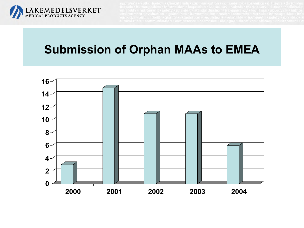

### **Submission of Orphan MAAs to EMEA**

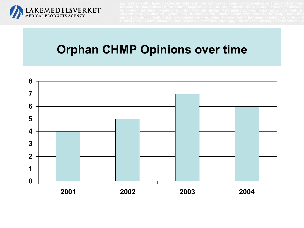

### **Orphan CHMP Opinions over time**

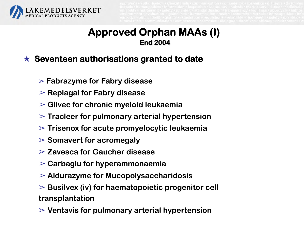

#### **Approved Orphan MAAs (I) End 2004**

#### ★ **Seventeen authorisations granted to date**

- ➢ **Fabrazyme for Fabry disease**
- ➢ **Replagal for Fabry disease**
- ➢ **Glivec for chronic myeloid leukaemia**
- ➢ **Tracleer for pulmonary arterial hypertension**
- ➢ **Trisenox for acute promyelocytic leukaemia**
- ➢ **Somavert for acromegaly**
- ➢ **Zavesca for Gaucher disease**
- ➢ **Carbaglu for hyperammonaemia**
- ➢ **Aldurazyme for Mucopolysaccharidosis**
- ➢ **Busilvex (iv) for haematopoietic progenitor cell transplantation**
- ➢ **Ventavis for pulmonary arterial hypertension**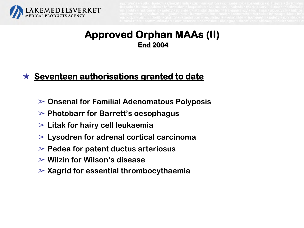

#### **Approved Orphan MAAs (II) End 2004**

#### ★ **Seventeen authorisations granted to date**

- ➢ **Onsenal for Familial Adenomatous Polyposis**
- ➢ **Photobarr for Barrett's oesophagus**
- ➢ **Litak for hairy cell leukaemia**
- ➢ **Lysodren for adrenal cortical carcinoma**
- ➢ **Pedea for patent ductus arteriosus**
- ➢ **Wilzin for Wilson's disease**
- ➢ **Xagrid for essential thrombocythaemia**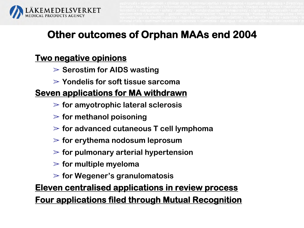

### **Other outcomes of Orphan MAAs end 2004**

#### **Two negative opinions**

- ➢ **Serostim for AIDS wasting**
- ➢ **Yondelis for soft tissue sarcoma**

#### **Seven applications for MA withdrawn**

- ➢ **for amyotrophic lateral sclerosis**
- ➢ **for methanol poisoning**
- ➢ **for advanced cutaneous T cell lymphoma**
- ➢ **for erythema nodosum leprosum**
- ➢ **for pulmonary arterial hypertension**
- ➢ **for multiple myeloma**
- ➢ **for Wegener's granulomatosis**

#### **Eleven centralised applications in review process Four applications filed through Mutual Recognition**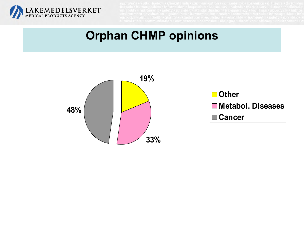

### **Orphan CHMP opinions**



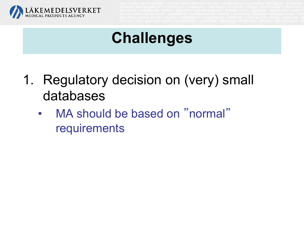

## **Challenges**

- 1. Regulatory decision on (very) small databases
	- MA should be based on "normal" requirements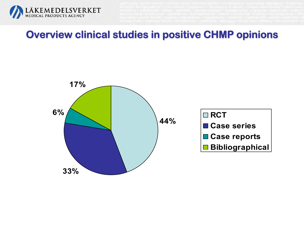

#### **Overview clinical studies in positive CHMP opinions**

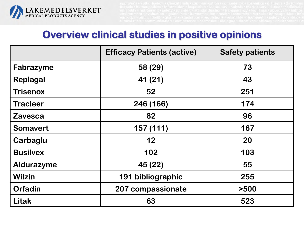

#### **Overview clinical studies in positive opinions**

|                   | <b>Efficacy Patients (active)</b> | <b>Safety patients</b> |  |
|-------------------|-----------------------------------|------------------------|--|
| Fabrazyme         | 58 (29)                           | 73                     |  |
| <b>Replagal</b>   | 41(21)                            | 43                     |  |
| <b>Trisenox</b>   | 52                                | 251                    |  |
| <b>Tracleer</b>   | 246 (166)                         | 174                    |  |
| <b>Zavesca</b>    | 82                                | 96                     |  |
| <b>Somavert</b>   | 157(111)                          | 167                    |  |
| Carbaglu          | 12                                | 20                     |  |
| <b>Busilvex</b>   | 102                               | 103                    |  |
| <b>Aldurazyme</b> | 45 (22)                           | 55                     |  |
| <b>Wilzin</b>     | 191 bibliographic                 | 255                    |  |
| <b>Orfadin</b>    | 207 compassionate                 | >500                   |  |
| <b>Litak</b>      | 63                                | 523                    |  |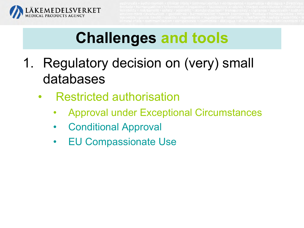

# **Challenges and tools**

- 1. Regulatory decision on (very) small databases
	- Restricted authorisation
		- Approval under Exceptional Circumstances
		- Conditional Approval
		- EU Compassionate Use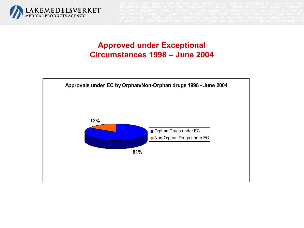

#### **Approved under Exceptional Circumstances 1998 – June 2004**

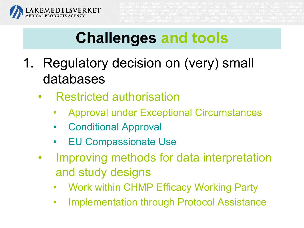

# **Challenges and tools**

- 1. Regulatory decision on (very) small databases
	- Restricted authorisation
		- Approval under Exceptional Circumstances
		- Conditional Approval
		- EU Compassionate Use
	- Improving methods for data interpretation and study designs
		- Work within CHMP Efficacy Working Party
		- Implementation through Protocol Assistance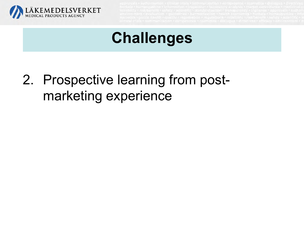

## **Challenges**

2. Prospective learning from postmarketing experience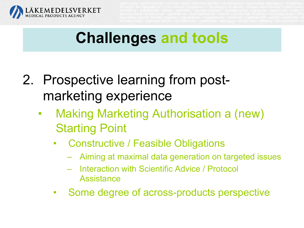

## **Challenges and tools**

- 2. Prospective learning from postmarketing experience
	- Making Marketing Authorisation a (new) Starting Point
		- Constructive / Feasible Obligations
			- Aiming at maximal data generation on targeted issues
			- Interaction with Scientific Advice / Protocol **Assistance**
		- Some degree of across-products perspective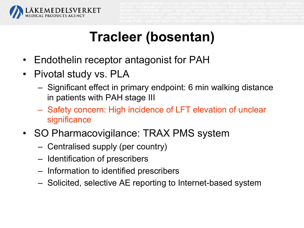

## **Tracleer (bosentan)**

- Endothelin receptor antagonist for PAH
- Pivotal study vs. PLA
	- Significant effect in primary endpoint: 6 min walking distance in patients with PAH stage III
	- Safety concern: High incidence of LFT elevation of unclear significance
- SO Pharmacovigilance: TRAX PMS system
	- Centralised supply (per country)
	- Identification of prescribers
	- Information to identified prescribers
	- Solicited, selective AE reporting to Internet-based system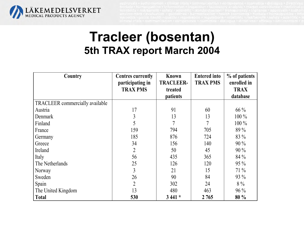

### **Tracleer (bosentan) 5th TRAX report March 2004**

| Country                         | <b>Centres currently</b> | Known            | <b>Entered into</b> | % of patients |
|---------------------------------|--------------------------|------------------|---------------------|---------------|
|                                 | participating in         | <b>TRACLEER-</b> | <b>TRAX PMS</b>     | enrolled in   |
|                                 | <b>TRAX PMS</b>          | treated          |                     | <b>TRAX</b>   |
|                                 |                          | patients         |                     | database      |
| TRACLEER commercially available |                          |                  |                     |               |
| Austria                         | 17                       | 91               | 60                  | 66 %          |
| Denmark                         | 3                        | 13               | 13                  | $100\%$       |
| Finland                         | 5                        |                  | 7                   | $100\%$       |
| France                          | 159                      | 794              | 705                 | 89 %          |
| Germany                         | 185                      | 876              | 724                 | 83 %          |
| Greece                          | 34                       | 156              | 140                 | 90 %          |
| Ireland                         | $\overline{2}$           | 50               | 45                  | 90 %          |
| Italy                           | 56                       | 435              | 365                 | 84 %          |
| The Netherlands                 | 25                       | 126              | 120                 | 95 %          |
| Norway                          | 3                        | 21               | 15                  | $71\%$        |
| Sweden                          | 26                       | 90               | 84                  | 93 %          |
| Spain                           | 2                        | 302              | 24                  | $8\%$         |
| The United Kingdom              | 13                       | 480              | 463                 | 96 %          |
| <b>Total</b>                    | 530                      | $3441*$          | 2765                | 80 %          |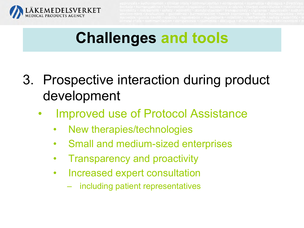

# **Challenges and tools**

- 3. Prospective interaction during product development
	- Improved use of Protocol Assistance
		- New therapies/technologies
		- Small and medium-sized enterprises
		- Transparency and proactivity
		- Increased expert consultation
			- including patient representatives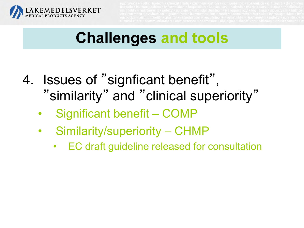

# **Challenges and tools**

- 4. Issues of "signficant benefit" , "similarity" and "clinical superiority"
	- Significant benefit COMP
	- Similarity/superiority CHMP
		- EC draft guideline released for consultation